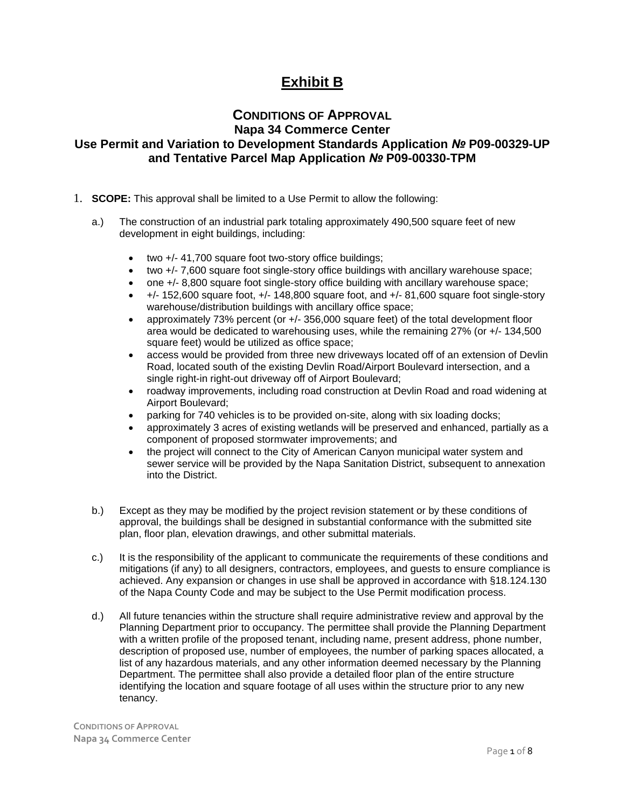# **Exhibit B**

## **CONDITIONS OF APPROVAL Napa 34 Commerce Center**

## **Use Permit and Variation to Development Standards Application** *№* **P09-00329-UP and Tentative Parcel Map Application** *№* **P09-00330-TPM**

- 1. **SCOPE:** This approval shall be limited to a Use Permit to allow the following:
	- a.) The construction of an industrial park totaling approximately 490,500 square feet of new development in eight buildings, including:
		- two +/- 41,700 square foot two-story office buildings;
		- two +/- 7,600 square foot single-story office buildings with ancillary warehouse space;
		- one +/- 8,800 square foot single-story office building with ancillary warehouse space;
		- $+/-$  152,600 square foot,  $+/-$  148,800 square foot, and  $+/-$  81,600 square foot single-story warehouse/distribution buildings with ancillary office space;
		- approximately 73% percent (or +/- 356,000 square feet) of the total development floor area would be dedicated to warehousing uses, while the remaining 27% (or +/- 134,500 square feet) would be utilized as office space;
		- access would be provided from three new driveways located off of an extension of Devlin Road, located south of the existing Devlin Road/Airport Boulevard intersection, and a single right-in right-out driveway off of Airport Boulevard;
		- roadway improvements, including road construction at Devlin Road and road widening at Airport Boulevard;
		- parking for 740 vehicles is to be provided on-site, along with six loading docks;
		- approximately 3 acres of existing wetlands will be preserved and enhanced, partially as a component of proposed stormwater improvements; and
		- the project will connect to the City of American Canyon municipal water system and sewer service will be provided by the Napa Sanitation District, subsequent to annexation into the District.
	- b.) Except as they may be modified by the project revision statement or by these conditions of approval, the buildings shall be designed in substantial conformance with the submitted site plan, floor plan, elevation drawings, and other submittal materials.
	- c.) It is the responsibility of the applicant to communicate the requirements of these conditions and mitigations (if any) to all designers, contractors, employees, and guests to ensure compliance is achieved. Any expansion or changes in use shall be approved in accordance with §18.124.130 of the Napa County Code and may be subject to the Use Permit modification process.
	- d.) All future tenancies within the structure shall require administrative review and approval by the Planning Department prior to occupancy. The permittee shall provide the Planning Department with a written profile of the proposed tenant, including name, present address, phone number, description of proposed use, number of employees, the number of parking spaces allocated, a list of any hazardous materials, and any other information deemed necessary by the Planning Department. The permittee shall also provide a detailed floor plan of the entire structure identifying the location and square footage of all uses within the structure prior to any new tenancy.

**CONDITIONS OFAPPROVAL Napa 34 Commerce Center**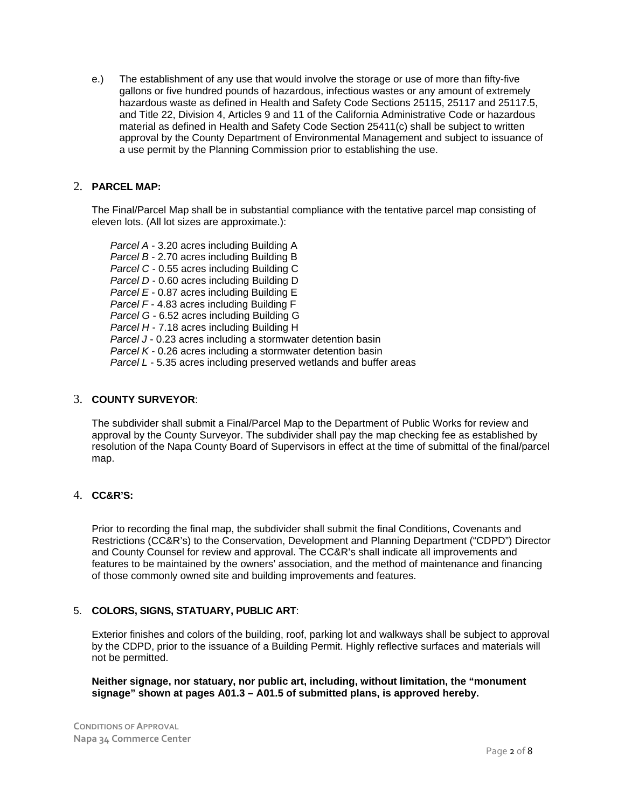e.) The establishment of any use that would involve the storage or use of more than fifty-five gallons or five hundred pounds of hazardous, infectious wastes or any amount of extremely hazardous waste as defined in Health and Safety Code Sections 25115, 25117 and 25117.5, and Title 22, Division 4, Articles 9 and 11 of the California Administrative Code or hazardous material as defined in Health and Safety Code Section 25411(c) shall be subject to written approval by the County Department of Environmental Management and subject to issuance of a use permit by the Planning Commission prior to establishing the use.

### 2. **PARCEL MAP:**

The Final/Parcel Map shall be in substantial compliance with the tentative parcel map consisting of eleven lots. (All lot sizes are approximate.):

*Parcel A* - 3.20 acres including Building A *Parcel B* - 2.70 acres including Building B *Parcel C* - 0.55 acres including Building C *Parcel D* - 0.60 acres including Building D *Parcel E* - 0.87 acres including Building E *Parcel F* - 4.83 acres including Building F *Parcel G* - 6.52 acres including Building G *Parcel H* - 7.18 acres including Building H *Parcel J* - 0.23 acres including a stormwater detention basin *Parcel K* - 0.26 acres including a stormwater detention basin *Parcel L* - 5.35 acres including preserved wetlands and buffer areas

#### 3. **COUNTY SURVEYOR**:

The subdivider shall submit a Final/Parcel Map to the Department of Public Works for review and approval by the County Surveyor. The subdivider shall pay the map checking fee as established by resolution of the Napa County Board of Supervisors in effect at the time of submittal of the final/parcel map.

## 4. **CC&R'S:**

Prior to recording the final map, the subdivider shall submit the final Conditions, Covenants and Restrictions (CC&R's) to the Conservation, Development and Planning Department ("CDPD") Director and County Counsel for review and approval. The CC&R's shall indicate all improvements and features to be maintained by the owners' association, and the method of maintenance and financing of those commonly owned site and building improvements and features.

#### 5. **COLORS, SIGNS, STATUARY, PUBLIC ART**:

Exterior finishes and colors of the building, roof, parking lot and walkways shall be subject to approval by the CDPD, prior to the issuance of a Building Permit. Highly reflective surfaces and materials will not be permitted.

**Neither signage, nor statuary, nor public art, including, without limitation, the "monument signage" shown at pages A01.3 – A01.5 of submitted plans, is approved hereby.**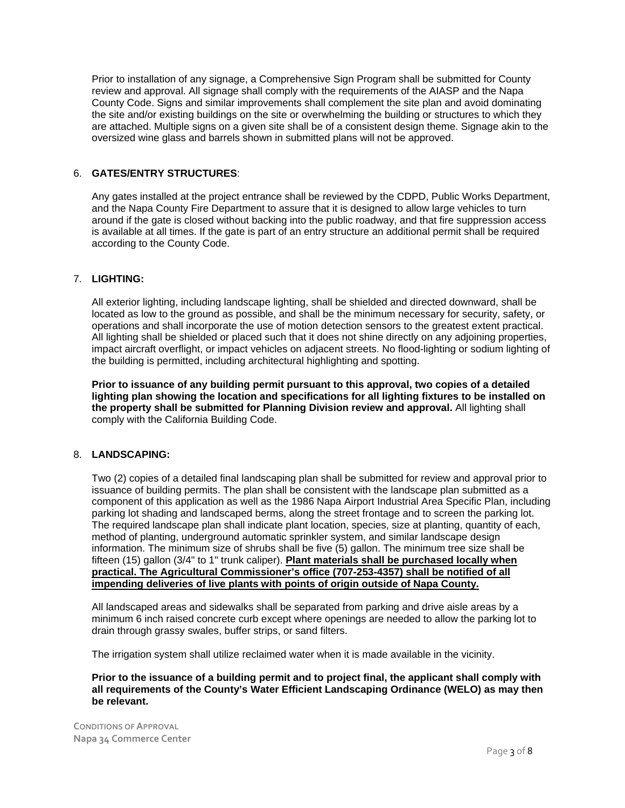Prior to installation of any signage, a Comprehensive Sign Program shall be submitted for County review and approval. All signage shall comply with the requirements of the AIASP and the Napa County Code. Signs and similar improvements shall complement the site plan and avoid dominating the site and/or existing buildings on the site or overwhelming the building or structures to which they are attached. Multiple signs on a given site shall be of a consistent design theme. Signage akin to the oversized wine glass and barrels shown in submitted plans will not be approved.

## 6. **GATES/ENTRY STRUCTURES**:

Any gates installed at the project entrance shall be reviewed by the CDPD, Public Works Department, and the Napa County Fire Department to assure that it is designed to allow large vehicles to turn around if the gate is closed without backing into the public roadway, and that fire suppression access is available at all times. If the gate is part of an entry structure an additional permit shall be required according to the County Code.

#### 7. **LIGHTING:**

All exterior lighting, including landscape lighting, shall be shielded and directed downward, shall be located as low to the ground as possible, and shall be the minimum necessary for security, safety, or operations and shall incorporate the use of motion detection sensors to the greatest extent practical. All lighting shall be shielded or placed such that it does not shine directly on any adjoining properties, impact aircraft overflight, or impact vehicles on adjacent streets. No flood-lighting or sodium lighting of the building is permitted, including architectural highlighting and spotting.

**Prior to issuance of any building permit pursuant to this approval, two copies of a detailed lighting plan showing the location and specifications for all lighting fixtures to be installed on the property shall be submitted for Planning Division review and approval.** All lighting shall comply with the California Building Code.

#### 8. **LANDSCAPING:**

Two (2) copies of a detailed final landscaping plan shall be submitted for review and approval prior to issuance of building permits. The plan shall be consistent with the landscape plan submitted as a component of this application as well as the 1986 Napa Airport Industrial Area Specific Plan, including parking lot shading and landscaped berms, along the street frontage and to screen the parking lot. The required landscape plan shall indicate plant location, species, size at planting, quantity of each, method of planting, underground automatic sprinkler system, and similar landscape design information. The minimum size of shrubs shall be five (5) gallon. The minimum tree size shall be fifteen (15) gallon (3/4" to 1" trunk caliper). **Plant materials shall be purchased locally when practical. The Agricultural Commissioner's office (707-253-4357) shall be notified of all impending deliveries of live plants with points of origin outside of Napa County.**

All landscaped areas and sidewalks shall be separated from parking and drive aisle areas by a minimum 6 inch raised concrete curb except where openings are needed to allow the parking lot to drain through grassy swales, buffer strips, or sand filters.

The irrigation system shall utilize reclaimed water when it is made available in the vicinity.

#### **Prior to the issuance of a building permit and to project final, the applicant shall comply with all requirements of the County's Water Efficient Landscaping Ordinance (WELO) as may then be relevant.**

**CONDITIONS OF APPROVAL Napa 34 Commerce Center**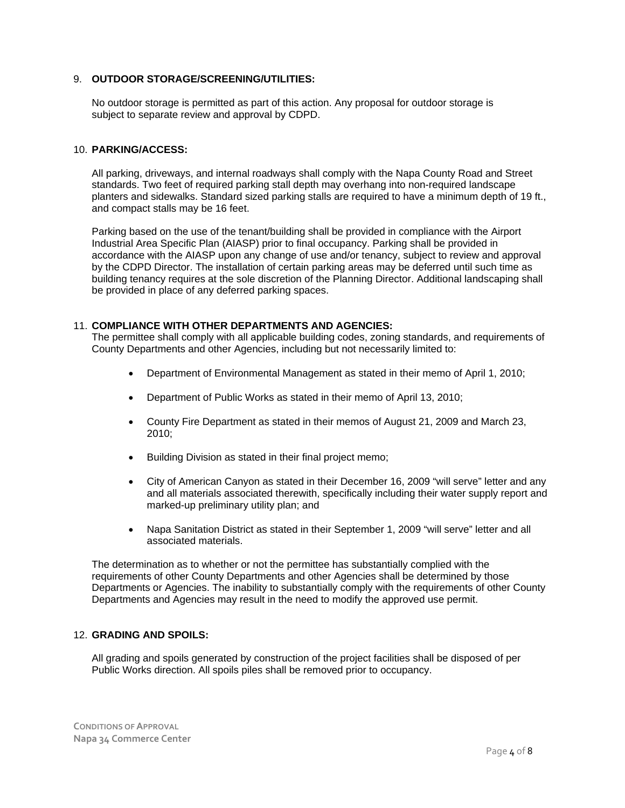#### 9. **OUTDOOR STORAGE/SCREENING/UTILITIES:**

No outdoor storage is permitted as part of this action. Any proposal for outdoor storage is subject to separate review and approval by CDPD.

#### 10. **PARKING/ACCESS:**

All parking, driveways, and internal roadways shall comply with the Napa County Road and Street standards. Two feet of required parking stall depth may overhang into non-required landscape planters and sidewalks. Standard sized parking stalls are required to have a minimum depth of 19 ft., and compact stalls may be 16 feet.

Parking based on the use of the tenant/building shall be provided in compliance with the Airport Industrial Area Specific Plan (AIASP) prior to final occupancy. Parking shall be provided in accordance with the AIASP upon any change of use and/or tenancy, subject to review and approval by the CDPD Director. The installation of certain parking areas may be deferred until such time as building tenancy requires at the sole discretion of the Planning Director. Additional landscaping shall be provided in place of any deferred parking spaces.

#### 11. **COMPLIANCE WITH OTHER DEPARTMENTS AND AGENCIES:**

The permittee shall comply with all applicable building codes, zoning standards, and requirements of County Departments and other Agencies, including but not necessarily limited to:

- Department of Environmental Management as stated in their memo of April 1, 2010;
- Department of Public Works as stated in their memo of April 13, 2010;
- County Fire Department as stated in their memos of August 21, 2009 and March 23, 2010;
- Building Division as stated in their final project memo;
- City of American Canyon as stated in their December 16, 2009 "will serve" letter and any and all materials associated therewith, specifically including their water supply report and marked-up preliminary utility plan; and
- Napa Sanitation District as stated in their September 1, 2009 "will serve" letter and all associated materials.

 The determination as to whether or not the permittee has substantially complied with the requirements of other County Departments and other Agencies shall be determined by those Departments or Agencies. The inability to substantially comply with the requirements of other County Departments and Agencies may result in the need to modify the approved use permit.

## 12. **GRADING AND SPOILS:**

All grading and spoils generated by construction of the project facilities shall be disposed of per Public Works direction. All spoils piles shall be removed prior to occupancy.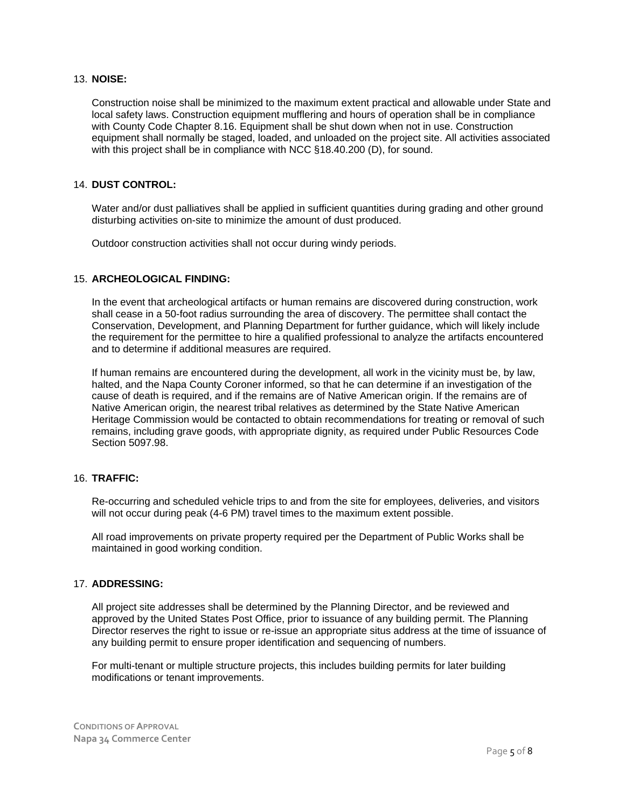#### 13. **NOISE:**

Construction noise shall be minimized to the maximum extent practical and allowable under State and local safety laws. Construction equipment mufflering and hours of operation shall be in compliance with County Code Chapter 8.16. Equipment shall be shut down when not in use. Construction equipment shall normally be staged, loaded, and unloaded on the project site. All activities associated with this project shall be in compliance with NCC §18.40.200 (D), for sound.

#### 14. **DUST CONTROL:**

Water and/or dust palliatives shall be applied in sufficient quantities during grading and other ground disturbing activities on-site to minimize the amount of dust produced.

Outdoor construction activities shall not occur during windy periods.

#### 15. **ARCHEOLOGICAL FINDING:**

In the event that archeological artifacts or human remains are discovered during construction, work shall cease in a 50-foot radius surrounding the area of discovery. The permittee shall contact the Conservation, Development, and Planning Department for further guidance, which will likely include the requirement for the permittee to hire a qualified professional to analyze the artifacts encountered and to determine if additional measures are required.

If human remains are encountered during the development, all work in the vicinity must be, by law, halted, and the Napa County Coroner informed, so that he can determine if an investigation of the cause of death is required, and if the remains are of Native American origin. If the remains are of Native American origin, the nearest tribal relatives as determined by the State Native American Heritage Commission would be contacted to obtain recommendations for treating or removal of such remains, including grave goods, with appropriate dignity, as required under Public Resources Code Section 5097.98.

#### 16. **TRAFFIC:**

Re-occurring and scheduled vehicle trips to and from the site for employees, deliveries, and visitors will not occur during peak (4-6 PM) travel times to the maximum extent possible.

All road improvements on private property required per the Department of Public Works shall be maintained in good working condition.

#### 17. **ADDRESSING:**

All project site addresses shall be determined by the Planning Director, and be reviewed and approved by the United States Post Office, prior to issuance of any building permit. The Planning Director reserves the right to issue or re-issue an appropriate situs address at the time of issuance of any building permit to ensure proper identification and sequencing of numbers.

For multi-tenant or multiple structure projects, this includes building permits for later building modifications or tenant improvements.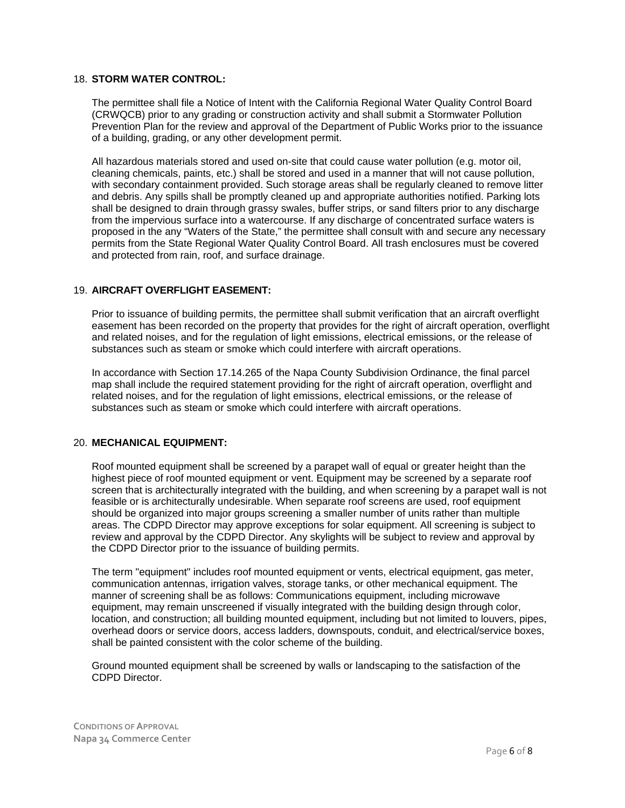#### 18. **STORM WATER CONTROL:**

The permittee shall file a Notice of Intent with the California Regional Water Quality Control Board (CRWQCB) prior to any grading or construction activity and shall submit a Stormwater Pollution Prevention Plan for the review and approval of the Department of Public Works prior to the issuance of a building, grading, or any other development permit.

All hazardous materials stored and used on-site that could cause water pollution (e.g. motor oil, cleaning chemicals, paints, etc.) shall be stored and used in a manner that will not cause pollution, with secondary containment provided. Such storage areas shall be regularly cleaned to remove litter and debris. Any spills shall be promptly cleaned up and appropriate authorities notified. Parking lots shall be designed to drain through grassy swales, buffer strips, or sand filters prior to any discharge from the impervious surface into a watercourse. If any discharge of concentrated surface waters is proposed in the any "Waters of the State," the permittee shall consult with and secure any necessary permits from the State Regional Water Quality Control Board. All trash enclosures must be covered and protected from rain, roof, and surface drainage.

#### 19. **AIRCRAFT OVERFLIGHT EASEMENT:**

Prior to issuance of building permits, the permittee shall submit verification that an aircraft overflight easement has been recorded on the property that provides for the right of aircraft operation, overflight and related noises, and for the regulation of light emissions, electrical emissions, or the release of substances such as steam or smoke which could interfere with aircraft operations.

In accordance with Section 17.14.265 of the Napa County Subdivision Ordinance, the final parcel map shall include the required statement providing for the right of aircraft operation, overflight and related noises, and for the regulation of light emissions, electrical emissions, or the release of substances such as steam or smoke which could interfere with aircraft operations.

#### 20. **MECHANICAL EQUIPMENT:**

Roof mounted equipment shall be screened by a parapet wall of equal or greater height than the highest piece of roof mounted equipment or vent. Equipment may be screened by a separate roof screen that is architecturally integrated with the building, and when screening by a parapet wall is not feasible or is architecturally undesirable. When separate roof screens are used, roof equipment should be organized into major groups screening a smaller number of units rather than multiple areas. The CDPD Director may approve exceptions for solar equipment. All screening is subject to review and approval by the CDPD Director. Any skylights will be subject to review and approval by the CDPD Director prior to the issuance of building permits.

The term "equipment" includes roof mounted equipment or vents, electrical equipment, gas meter, communication antennas, irrigation valves, storage tanks, or other mechanical equipment. The manner of screening shall be as follows: Communications equipment, including microwave equipment, may remain unscreened if visually integrated with the building design through color, location, and construction; all building mounted equipment, including but not limited to louvers, pipes, overhead doors or service doors, access ladders, downspouts, conduit, and electrical/service boxes, shall be painted consistent with the color scheme of the building.

Ground mounted equipment shall be screened by walls or landscaping to the satisfaction of the CDPD Director.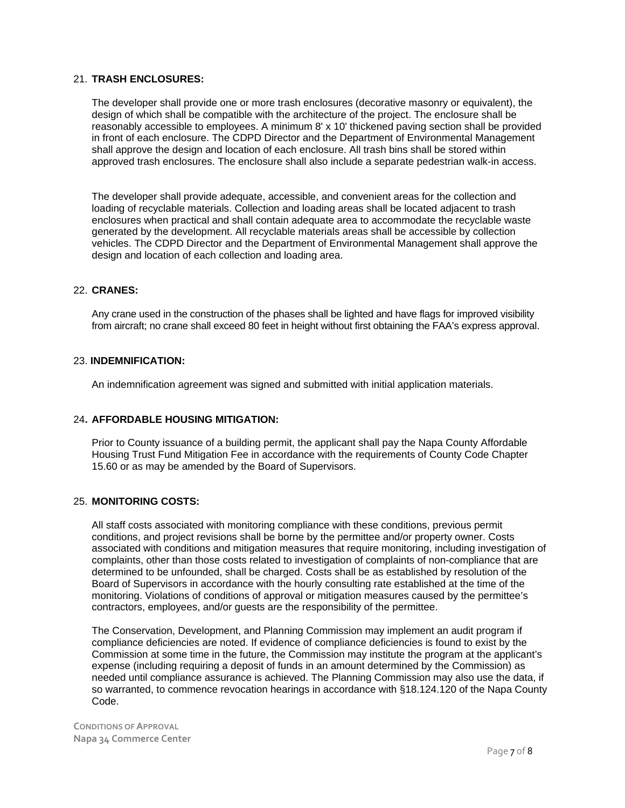#### 21. **TRASH ENCLOSURES:**

The developer shall provide one or more trash enclosures (decorative masonry or equivalent), the design of which shall be compatible with the architecture of the project. The enclosure shall be reasonably accessible to employees. A minimum 8' x 10' thickened paving section shall be provided in front of each enclosure. The CDPD Director and the Department of Environmental Management shall approve the design and location of each enclosure. All trash bins shall be stored within approved trash enclosures. The enclosure shall also include a separate pedestrian walk-in access.

The developer shall provide adequate, accessible, and convenient areas for the collection and loading of recyclable materials. Collection and loading areas shall be located adjacent to trash enclosures when practical and shall contain adequate area to accommodate the recyclable waste generated by the development. All recyclable materials areas shall be accessible by collection vehicles. The CDPD Director and the Department of Environmental Management shall approve the design and location of each collection and loading area.

#### 22. **CRANES:**

Any crane used in the construction of the phases shall be lighted and have flags for improved visibility from aircraft; no crane shall exceed 80 feet in height without first obtaining the FAA's express approval.

#### 23. **INDEMNIFICATION:**

An indemnification agreement was signed and submitted with initial application materials.

#### 24**. AFFORDABLE HOUSING MITIGATION:**

Prior to County issuance of a building permit, the applicant shall pay the Napa County Affordable Housing Trust Fund Mitigation Fee in accordance with the requirements of County Code Chapter 15.60 or as may be amended by the Board of Supervisors.

#### 25. **MONITORING COSTS:**

All staff costs associated with monitoring compliance with these conditions, previous permit conditions, and project revisions shall be borne by the permittee and/or property owner. Costs associated with conditions and mitigation measures that require monitoring, including investigation of complaints, other than those costs related to investigation of complaints of non-compliance that are determined to be unfounded, shall be charged. Costs shall be as established by resolution of the Board of Supervisors in accordance with the hourly consulting rate established at the time of the monitoring. Violations of conditions of approval or mitigation measures caused by the permittee's contractors, employees, and/or guests are the responsibility of the permittee.

The Conservation, Development, and Planning Commission may implement an audit program if compliance deficiencies are noted. If evidence of compliance deficiencies is found to exist by the Commission at some time in the future, the Commission may institute the program at the applicant's expense (including requiring a deposit of funds in an amount determined by the Commission) as needed until compliance assurance is achieved. The Planning Commission may also use the data, if so warranted, to commence revocation hearings in accordance with §18.124.120 of the Napa County Code.

**CONDITIONS OF APPROVAL Napa 34 Commerce Center**